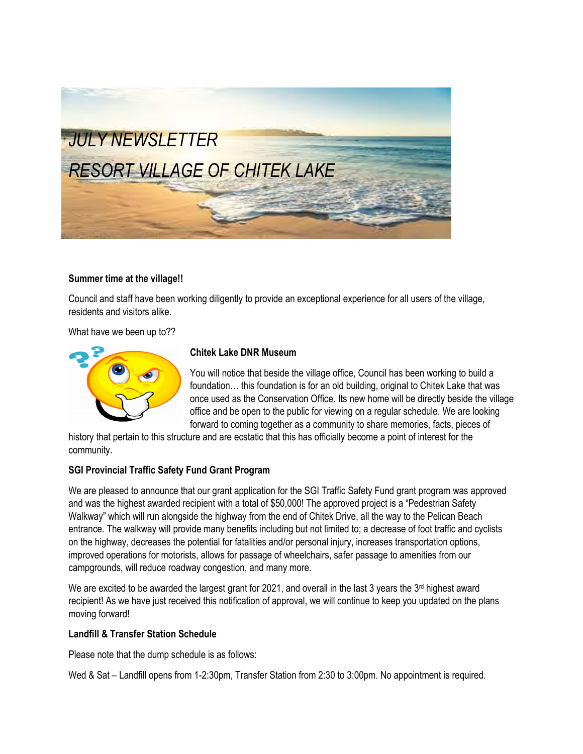

#### **Summer time at the village!!**

Council and staff have been working diligently to provide an exceptional experience for all users of the village, residents and visitors alike.

What have we been up to??



# **Chitek Lake DNR Museum**

You will notice that beside the village office, Council has been working to build a foundation… this foundation is for an old building, original to Chitek Lake that was once used as the Conservation Office. Its new home will be directly beside the village office and be open to the public for viewing on a regular schedule. We are looking forward to coming together as a community to share memories, facts, pieces of

history that pertain to this structure and are ecstatic that this has officially become a point of interest for the community.

#### **SGI Provincial Traffic Safety Fund Grant Program**

We are pleased to announce that our grant application for the SGI Traffic Safety Fund grant program was approved and was the highest awarded recipient with a total of \$50,000! The approved project is a "Pedestrian Safety Walkway" which will run alongside the highway from the end of Chitek Drive, all the way to the Pelican Beach entrance. The walkway will provide many benefits including but not limited to; a decrease of foot traffic and cyclists on the highway, decreases the potential for fatalities and/or personal injury, increases transportation options, improved operations for motorists, allows for passage of wheelchairs, safer passage to amenities from our campgrounds, will reduce roadway congestion, and many more.

We are excited to be awarded the largest grant for 2021, and overall in the last 3 years the  $3<sup>rd</sup>$  highest award recipient! As we have just received this notification of approval, we will continue to keep you updated on the plans moving forward!

#### **Landfill & Transfer Station Schedule**

Please note that the dump schedule is as follows:

Wed & Sat – Landfill opens from 1-2:30pm, Transfer Station from 2:30 to 3:00pm. No appointment is required*.*